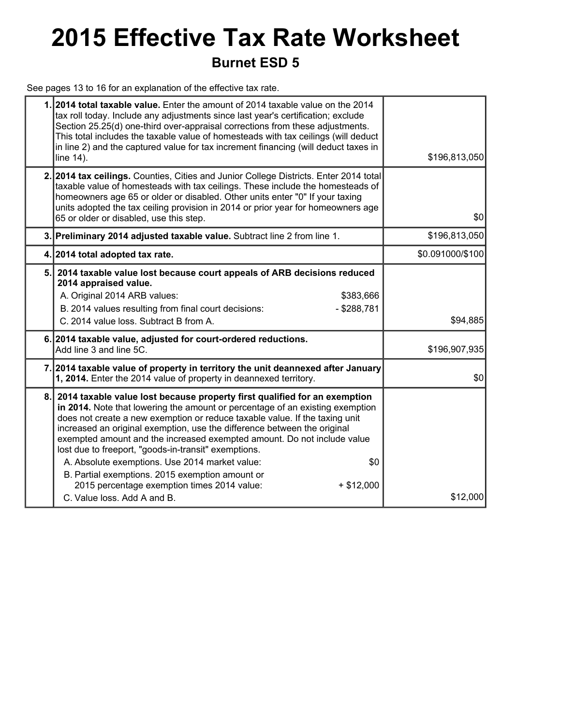## **2015 Effective Tax Rate Worksheet Burnet ESD 5**

See pages 13 to 16 for an explanation of the effective tax rate.

|    | 1. 2014 total taxable value. Enter the amount of 2014 taxable value on the 2014<br>tax roll today. Include any adjustments since last year's certification; exclude<br>Section 25.25(d) one-third over-appraisal corrections from these adjustments.<br>This total includes the taxable value of homesteads with tax ceilings (will deduct<br>in line 2) and the captured value for tax increment financing (will deduct taxes in<br>line 14).                                                                                                                                                                                                                     | \$196,813,050    |
|----|--------------------------------------------------------------------------------------------------------------------------------------------------------------------------------------------------------------------------------------------------------------------------------------------------------------------------------------------------------------------------------------------------------------------------------------------------------------------------------------------------------------------------------------------------------------------------------------------------------------------------------------------------------------------|------------------|
|    | 2. 2014 tax ceilings. Counties, Cities and Junior College Districts. Enter 2014 total<br>taxable value of homesteads with tax ceilings. These include the homesteads of<br>homeowners age 65 or older or disabled. Other units enter "0" If your taxing<br>units adopted the tax ceiling provision in 2014 or prior year for homeowners age<br>65 or older or disabled, use this step.                                                                                                                                                                                                                                                                             | \$0              |
|    | 3. Preliminary 2014 adjusted taxable value. Subtract line 2 from line 1.                                                                                                                                                                                                                                                                                                                                                                                                                                                                                                                                                                                           | \$196,813,050    |
|    | 4. 2014 total adopted tax rate.                                                                                                                                                                                                                                                                                                                                                                                                                                                                                                                                                                                                                                    | \$0.091000/\$100 |
| 5. | 2014 taxable value lost because court appeals of ARB decisions reduced<br>2014 appraised value.<br>A. Original 2014 ARB values:<br>\$383,666<br>B. 2014 values resulting from final court decisions:<br>$-$ \$288,781<br>C. 2014 value loss. Subtract B from A.                                                                                                                                                                                                                                                                                                                                                                                                    | \$94,885         |
|    | 6. 2014 taxable value, adjusted for court-ordered reductions.<br>Add line 3 and line 5C.                                                                                                                                                                                                                                                                                                                                                                                                                                                                                                                                                                           | \$196,907,935    |
|    | 7. 2014 taxable value of property in territory the unit deannexed after January<br>1, 2014. Enter the 2014 value of property in deannexed territory.                                                                                                                                                                                                                                                                                                                                                                                                                                                                                                               | \$0              |
| 8. | 2014 taxable value lost because property first qualified for an exemption<br>in 2014. Note that lowering the amount or percentage of an existing exemption<br>does not create a new exemption or reduce taxable value. If the taxing unit<br>increased an original exemption, use the difference between the original<br>exempted amount and the increased exempted amount. Do not include value<br>lost due to freeport, "goods-in-transit" exemptions.<br>A. Absolute exemptions. Use 2014 market value:<br>\$0<br>B. Partial exemptions. 2015 exemption amount or<br>2015 percentage exemption times 2014 value:<br>$+$ \$12,000<br>C. Value loss, Add A and B. | \$12,000         |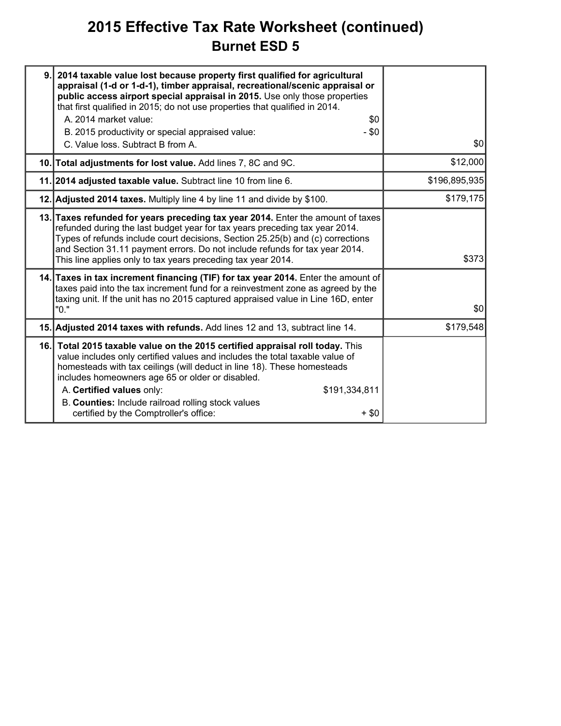### **2015 Effective Tax Rate Worksheet (continued) Burnet ESD 5**

| 9. | 2014 taxable value lost because property first qualified for agricultural<br>appraisal (1-d or 1-d-1), timber appraisal, recreational/scenic appraisal or<br>public access airport special appraisal in 2015. Use only those properties<br>that first qualified in 2015; do not use properties that qualified in 2014.<br>A. 2014 market value:<br>\$0<br>B. 2015 productivity or special appraised value:<br>$- $0$<br>C. Value loss. Subtract B from A. | \$0           |
|----|-----------------------------------------------------------------------------------------------------------------------------------------------------------------------------------------------------------------------------------------------------------------------------------------------------------------------------------------------------------------------------------------------------------------------------------------------------------|---------------|
|    | 10. Total adjustments for lost value. Add lines 7, 8C and 9C.                                                                                                                                                                                                                                                                                                                                                                                             | \$12,000      |
|    | 11. 2014 adjusted taxable value. Subtract line 10 from line 6.                                                                                                                                                                                                                                                                                                                                                                                            | \$196,895,935 |
|    | 12. Adjusted 2014 taxes. Multiply line 4 by line 11 and divide by \$100.                                                                                                                                                                                                                                                                                                                                                                                  | \$179,175     |
|    | 13. Taxes refunded for years preceding tax year 2014. Enter the amount of taxes<br>refunded during the last budget year for tax years preceding tax year 2014.<br>Types of refunds include court decisions, Section 25.25(b) and (c) corrections<br>and Section 31.11 payment errors. Do not include refunds for tax year 2014.<br>This line applies only to tax years preceding tax year 2014.                                                           | \$373         |
|    | 14. Taxes in tax increment financing (TIF) for tax year 2014. Enter the amount of<br>taxes paid into the tax increment fund for a reinvestment zone as agreed by the<br>taxing unit. If the unit has no 2015 captured appraised value in Line 16D, enter<br>"0."                                                                                                                                                                                          | \$0           |
|    | 15. Adjusted 2014 taxes with refunds. Add lines 12 and 13, subtract line 14.                                                                                                                                                                                                                                                                                                                                                                              | \$179,548     |
|    | 16. Total 2015 taxable value on the 2015 certified appraisal roll today. This<br>value includes only certified values and includes the total taxable value of<br>homesteads with tax ceilings (will deduct in line 18). These homesteads<br>includes homeowners age 65 or older or disabled.<br>A. Certified values only:<br>\$191,334,811<br>B. Counties: Include railroad rolling stock values<br>certified by the Comptroller's office:<br>$+$ \$0     |               |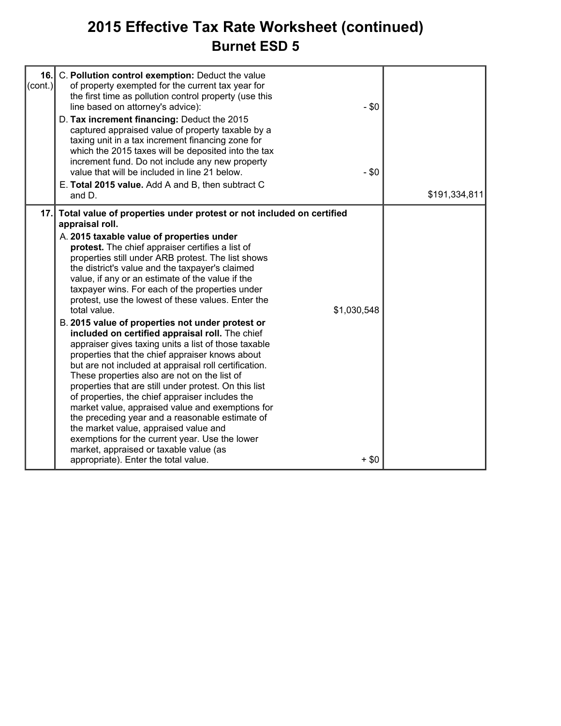### **2015 Effective Tax Rate Worksheet (continued) Burnet ESD 5**

| $\text{(cont.)}$ | 16. C. Pollution control exemption: Deduct the value<br>of property exempted for the current tax year for<br>the first time as pollution control property (use this<br>line based on attorney's advice):<br>D. Tax increment financing: Deduct the 2015<br>captured appraised value of property taxable by a<br>taxing unit in a tax increment financing zone for<br>which the 2015 taxes will be deposited into the tax<br>increment fund. Do not include any new property<br>value that will be included in line 21 below.<br>E. Total 2015 value. Add A and B, then subtract C<br>and $D1$                                                                                                                                                                                                                                                                                                                                                                                                                                                                                                                                                                                                                 | $-$ \$0<br>$-$ \$0     | \$191,334,811 |
|------------------|---------------------------------------------------------------------------------------------------------------------------------------------------------------------------------------------------------------------------------------------------------------------------------------------------------------------------------------------------------------------------------------------------------------------------------------------------------------------------------------------------------------------------------------------------------------------------------------------------------------------------------------------------------------------------------------------------------------------------------------------------------------------------------------------------------------------------------------------------------------------------------------------------------------------------------------------------------------------------------------------------------------------------------------------------------------------------------------------------------------------------------------------------------------------------------------------------------------|------------------------|---------------|
|                  | 17. Total value of properties under protest or not included on certified<br>appraisal roll.<br>A. 2015 taxable value of properties under<br>protest. The chief appraiser certifies a list of<br>properties still under ARB protest. The list shows<br>the district's value and the taxpayer's claimed<br>value, if any or an estimate of the value if the<br>taxpayer wins. For each of the properties under<br>protest, use the lowest of these values. Enter the<br>total value.<br>B. 2015 value of properties not under protest or<br>included on certified appraisal roll. The chief<br>appraiser gives taxing units a list of those taxable<br>properties that the chief appraiser knows about<br>but are not included at appraisal roll certification.<br>These properties also are not on the list of<br>properties that are still under protest. On this list<br>of properties, the chief appraiser includes the<br>market value, appraised value and exemptions for<br>the preceding year and a reasonable estimate of<br>the market value, appraised value and<br>exemptions for the current year. Use the lower<br>market, appraised or taxable value (as<br>appropriate). Enter the total value. | \$1,030,548<br>$+$ \$0 |               |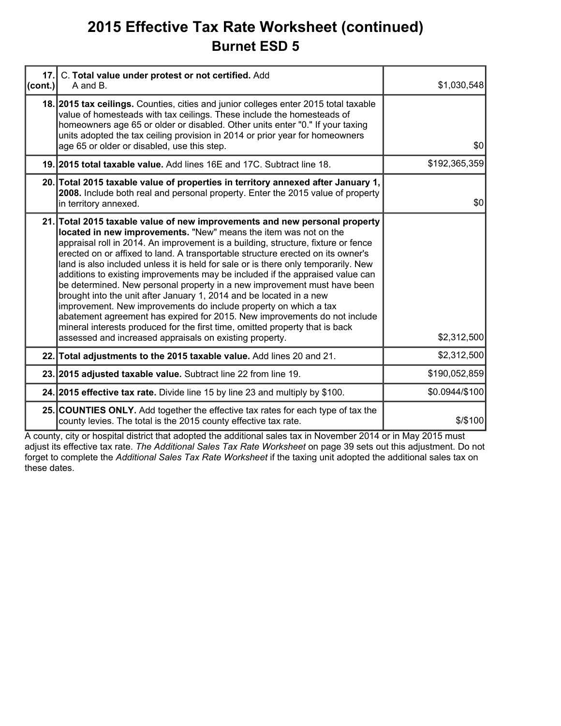### **2015 Effective Tax Rate Worksheet (continued) Burnet ESD 5**

| 17.<br>(cont.) | C. Total value under protest or not certified. Add<br>A and B.                                                                                                                                                                                                                                                                                                                                                                                                                                                                                                                                                                                                                                                                                                                                                                                                                                                                               | \$1,030,548    |
|----------------|----------------------------------------------------------------------------------------------------------------------------------------------------------------------------------------------------------------------------------------------------------------------------------------------------------------------------------------------------------------------------------------------------------------------------------------------------------------------------------------------------------------------------------------------------------------------------------------------------------------------------------------------------------------------------------------------------------------------------------------------------------------------------------------------------------------------------------------------------------------------------------------------------------------------------------------------|----------------|
|                | 18. 2015 tax cellings. Counties, cities and junior colleges enter 2015 total taxable<br>value of homesteads with tax ceilings. These include the homesteads of<br>homeowners age 65 or older or disabled. Other units enter "0." If your taxing<br>units adopted the tax ceiling provision in 2014 or prior year for homeowners<br>age 65 or older or disabled, use this step.                                                                                                                                                                                                                                                                                                                                                                                                                                                                                                                                                               | \$0            |
|                | 19. 2015 total taxable value. Add lines 16E and 17C. Subtract line 18.                                                                                                                                                                                                                                                                                                                                                                                                                                                                                                                                                                                                                                                                                                                                                                                                                                                                       | \$192,365,359  |
|                | 20. Total 2015 taxable value of properties in territory annexed after January 1,<br>2008. Include both real and personal property. Enter the 2015 value of property<br>in territory annexed.                                                                                                                                                                                                                                                                                                                                                                                                                                                                                                                                                                                                                                                                                                                                                 | \$0            |
|                | 21. Total 2015 taxable value of new improvements and new personal property<br>located in new improvements. "New" means the item was not on the<br>appraisal roll in 2014. An improvement is a building, structure, fixture or fence<br>erected on or affixed to land. A transportable structure erected on its owner's<br>land is also included unless it is held for sale or is there only temporarily. New<br>additions to existing improvements may be included if the appraised value can<br>be determined. New personal property in a new improvement must have been<br>brought into the unit after January 1, 2014 and be located in a new<br>improvement. New improvements do include property on which a tax<br>abatement agreement has expired for 2015. New improvements do not include<br>mineral interests produced for the first time, omitted property that is back<br>assessed and increased appraisals on existing property. | \$2,312,500    |
|                | 22. Total adjustments to the 2015 taxable value. Add lines 20 and 21.                                                                                                                                                                                                                                                                                                                                                                                                                                                                                                                                                                                                                                                                                                                                                                                                                                                                        | \$2,312,500    |
|                | 23. 2015 adjusted taxable value. Subtract line 22 from line 19.                                                                                                                                                                                                                                                                                                                                                                                                                                                                                                                                                                                                                                                                                                                                                                                                                                                                              | \$190,052,859  |
|                | 24. 2015 effective tax rate. Divide line 15 by line 23 and multiply by \$100.                                                                                                                                                                                                                                                                                                                                                                                                                                                                                                                                                                                                                                                                                                                                                                                                                                                                | \$0.0944/\$100 |
|                | 25. COUNTIES ONLY. Add together the effective tax rates for each type of tax the<br>county levies. The total is the 2015 county effective tax rate.                                                                                                                                                                                                                                                                                                                                                                                                                                                                                                                                                                                                                                                                                                                                                                                          | \$/\$100       |

A county, city or hospital district that adopted the additional sales tax in November 2014 or in May 2015 must adjust its effective tax rate. *The Additional Sales Tax Rate Worksheet* on page 39 sets out this adjustment. Do not forget to complete the *Additional Sales Tax Rate Worksheet* if the taxing unit adopted the additional sales tax on these dates.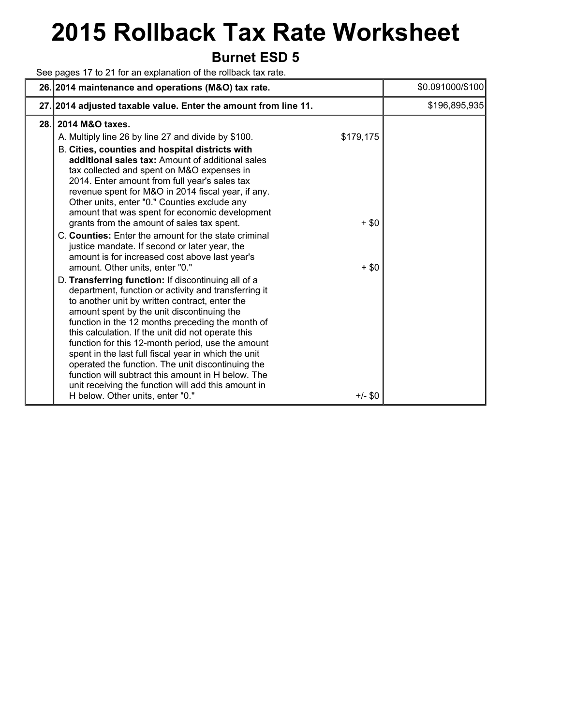# **2015 Rollback Tax Rate Worksheet**

### **Burnet ESD 5**

See pages 17 to 21 for an explanation of the rollback tax rate.

|      | 26. 2014 maintenance and operations (M&O) tax rate.                                                                                                                                                                                                                                                                                                                                                                                                                                                                                                                                                                                                                                                                                                                                                                                                                                                                                                                                                                                                                                                                                                                                                                                                                                                                          |                                              | \$0.091000/\$100 |
|------|------------------------------------------------------------------------------------------------------------------------------------------------------------------------------------------------------------------------------------------------------------------------------------------------------------------------------------------------------------------------------------------------------------------------------------------------------------------------------------------------------------------------------------------------------------------------------------------------------------------------------------------------------------------------------------------------------------------------------------------------------------------------------------------------------------------------------------------------------------------------------------------------------------------------------------------------------------------------------------------------------------------------------------------------------------------------------------------------------------------------------------------------------------------------------------------------------------------------------------------------------------------------------------------------------------------------------|----------------------------------------------|------------------|
|      | 27. 2014 adjusted taxable value. Enter the amount from line 11.                                                                                                                                                                                                                                                                                                                                                                                                                                                                                                                                                                                                                                                                                                                                                                                                                                                                                                                                                                                                                                                                                                                                                                                                                                                              |                                              | \$196,895,935    |
| 28.1 | 2014 M&O taxes.<br>A. Multiply line 26 by line 27 and divide by \$100.<br>B. Cities, counties and hospital districts with<br>additional sales tax: Amount of additional sales<br>tax collected and spent on M&O expenses in<br>2014. Enter amount from full year's sales tax<br>revenue spent for M&O in 2014 fiscal year, if any.<br>Other units, enter "0." Counties exclude any<br>amount that was spent for economic development<br>grants from the amount of sales tax spent.<br>C. Counties: Enter the amount for the state criminal<br>justice mandate. If second or later year, the<br>amount is for increased cost above last year's<br>amount. Other units, enter "0."<br>D. Transferring function: If discontinuing all of a<br>department, function or activity and transferring it<br>to another unit by written contract, enter the<br>amount spent by the unit discontinuing the<br>function in the 12 months preceding the month of<br>this calculation. If the unit did not operate this<br>function for this 12-month period, use the amount<br>spent in the last full fiscal year in which the unit<br>operated the function. The unit discontinuing the<br>function will subtract this amount in H below. The<br>unit receiving the function will add this amount in<br>H below. Other units, enter "0." | \$179,175<br>$+$ \$0<br>$+$ \$0<br>$+/-$ \$0 |                  |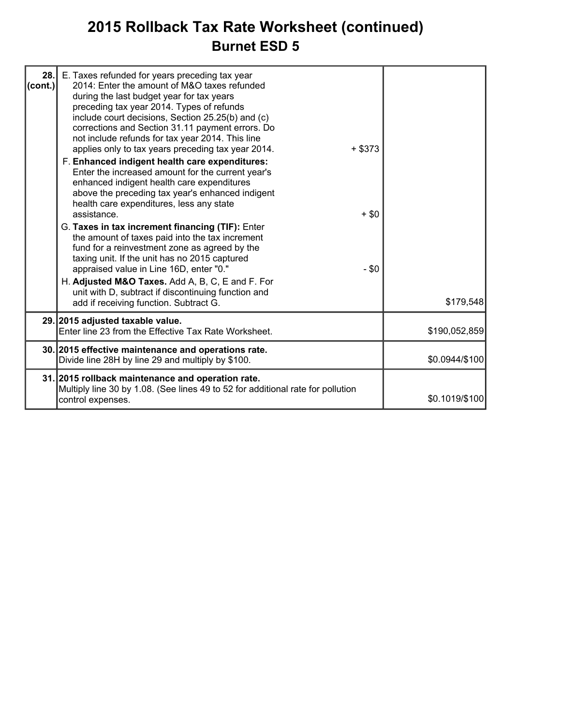### **2015 Rollback Tax Rate Worksheet (continued) Burnet ESD 5**

| 28.<br> cont. | E. Taxes refunded for years preceding tax year<br>2014: Enter the amount of M&O taxes refunded<br>during the last budget year for tax years<br>preceding tax year 2014. Types of refunds<br>include court decisions, Section 25.25(b) and (c)<br>corrections and Section 31.11 payment errors. Do<br>not include refunds for tax year 2014. This line<br>applies only to tax years preceding tax year 2014.<br>F. Enhanced indigent health care expenditures:<br>Enter the increased amount for the current year's<br>enhanced indigent health care expenditures<br>above the preceding tax year's enhanced indigent<br>health care expenditures, less any state<br>assistance.<br>G. Taxes in tax increment financing (TIF): Enter<br>the amount of taxes paid into the tax increment<br>fund for a reinvestment zone as agreed by the<br>taxing unit. If the unit has no 2015 captured<br>appraised value in Line 16D, enter "0." | $+$ \$373<br>$+$ \$0<br>$- $0$ |                |
|---------------|-------------------------------------------------------------------------------------------------------------------------------------------------------------------------------------------------------------------------------------------------------------------------------------------------------------------------------------------------------------------------------------------------------------------------------------------------------------------------------------------------------------------------------------------------------------------------------------------------------------------------------------------------------------------------------------------------------------------------------------------------------------------------------------------------------------------------------------------------------------------------------------------------------------------------------------|--------------------------------|----------------|
|               | H. Adjusted M&O Taxes. Add A, B, C, E and F. For<br>unit with D, subtract if discontinuing function and<br>add if receiving function. Subtract G.                                                                                                                                                                                                                                                                                                                                                                                                                                                                                                                                                                                                                                                                                                                                                                                   |                                | \$179,548      |
|               | 29. 2015 adjusted taxable value.<br>Enter line 23 from the Effective Tax Rate Worksheet.                                                                                                                                                                                                                                                                                                                                                                                                                                                                                                                                                                                                                                                                                                                                                                                                                                            |                                | \$190,052,859  |
|               | 30. 2015 effective maintenance and operations rate.<br>Divide line 28H by line 29 and multiply by \$100.                                                                                                                                                                                                                                                                                                                                                                                                                                                                                                                                                                                                                                                                                                                                                                                                                            |                                | \$0.0944/\$100 |
|               | 31. 2015 rollback maintenance and operation rate.<br>Multiply line 30 by 1.08. (See lines 49 to 52 for additional rate for pollution<br>control expenses.                                                                                                                                                                                                                                                                                                                                                                                                                                                                                                                                                                                                                                                                                                                                                                           |                                | \$0.1019/\$100 |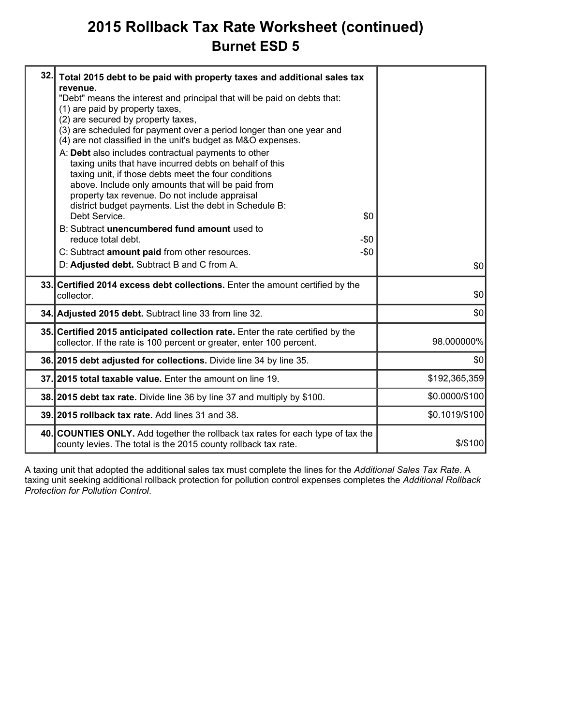### **2015 Rollback Tax Rate Worksheet (continued) Burnet ESD 5**

| 32. | Total 2015 debt to be paid with property taxes and additional sales tax<br>revenue.<br>"Debt" means the interest and principal that will be paid on debts that:<br>(1) are paid by property taxes,<br>(2) are secured by property taxes,<br>(3) are scheduled for payment over a period longer than one year and<br>(4) are not classified in the unit's budget as M&O expenses.<br>A: Debt also includes contractual payments to other<br>taxing units that have incurred debts on behalf of this<br>taxing unit, if those debts meet the four conditions<br>above. Include only amounts that will be paid from<br>property tax revenue. Do not include appraisal<br>district budget payments. List the debt in Schedule B:<br>Debt Service.<br>\$0<br>B: Subtract unencumbered fund amount used to<br>reduce total debt.<br>-\$0<br>C: Subtract amount paid from other resources.<br>$-\$0$<br>D: Adjusted debt. Subtract B and C from A. | \$0            |
|-----|---------------------------------------------------------------------------------------------------------------------------------------------------------------------------------------------------------------------------------------------------------------------------------------------------------------------------------------------------------------------------------------------------------------------------------------------------------------------------------------------------------------------------------------------------------------------------------------------------------------------------------------------------------------------------------------------------------------------------------------------------------------------------------------------------------------------------------------------------------------------------------------------------------------------------------------------|----------------|
|     | 33. Certified 2014 excess debt collections. Enter the amount certified by the<br>collector.                                                                                                                                                                                                                                                                                                                                                                                                                                                                                                                                                                                                                                                                                                                                                                                                                                                 | \$0            |
|     | 34. Adjusted 2015 debt. Subtract line 33 from line 32.                                                                                                                                                                                                                                                                                                                                                                                                                                                                                                                                                                                                                                                                                                                                                                                                                                                                                      | \$0            |
|     | 35. Certified 2015 anticipated collection rate. Enter the rate certified by the<br>collector. If the rate is 100 percent or greater, enter 100 percent.                                                                                                                                                                                                                                                                                                                                                                                                                                                                                                                                                                                                                                                                                                                                                                                     | 98.000000%     |
|     | 36. 2015 debt adjusted for collections. Divide line 34 by line 35.                                                                                                                                                                                                                                                                                                                                                                                                                                                                                                                                                                                                                                                                                                                                                                                                                                                                          | \$0            |
|     | 37. 2015 total taxable value. Enter the amount on line 19.                                                                                                                                                                                                                                                                                                                                                                                                                                                                                                                                                                                                                                                                                                                                                                                                                                                                                  | \$192,365,359  |
|     | 38. 2015 debt tax rate. Divide line 36 by line 37 and multiply by \$100.                                                                                                                                                                                                                                                                                                                                                                                                                                                                                                                                                                                                                                                                                                                                                                                                                                                                    | \$0.0000/\$100 |
|     | 39. 2015 rollback tax rate. Add lines 31 and 38.                                                                                                                                                                                                                                                                                                                                                                                                                                                                                                                                                                                                                                                                                                                                                                                                                                                                                            | \$0.1019/\$100 |
|     | 40. COUNTIES ONLY. Add together the rollback tax rates for each type of tax the<br>county levies. The total is the 2015 county rollback tax rate.                                                                                                                                                                                                                                                                                                                                                                                                                                                                                                                                                                                                                                                                                                                                                                                           | $$$ /\$100     |
|     |                                                                                                                                                                                                                                                                                                                                                                                                                                                                                                                                                                                                                                                                                                                                                                                                                                                                                                                                             |                |

A taxing unit that adopted the additional sales tax must complete the lines for the *Additional Sales Tax Rate*. A taxing unit seeking additional rollback protection for pollution control expenses completes the *Additional Rollback Protection for Pollution Control*.